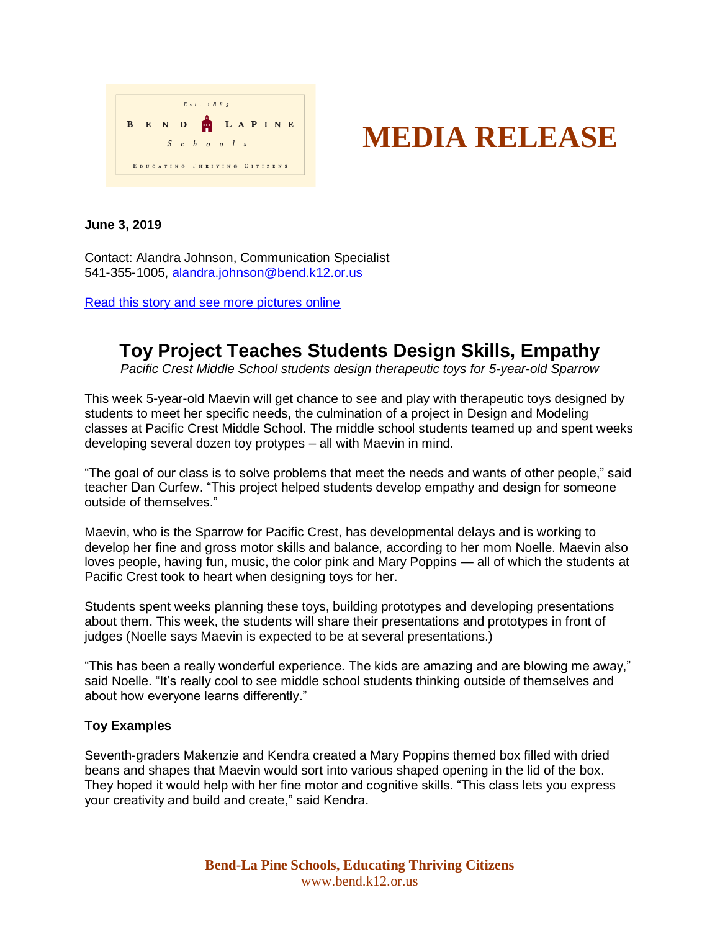

## **MEDIA RELEASE**

## **June 3, 2019**

Contact: Alandra Johnson, Communication Specialist 541-355-1005, [alandra.johnson@bend.k12.or.us](mailto:alandra.johnson@bend.k12.or.us)

[Read this story and see more pictures online](https://www.bend.k12.or.us/district/news-events/news/2019/06/toy-project-teaches-design-empathy)

## **Toy Project Teaches Students Design Skills, Empathy**

*Pacific Crest Middle School students design therapeutic toys for 5-year-old Sparrow*

This week 5-year-old Maevin will get chance to see and play with therapeutic toys designed by students to meet her specific needs, the culmination of a project in Design and Modeling classes at Pacific Crest Middle School. The middle school students teamed up and spent weeks developing several dozen toy protypes – all with Maevin in mind.

"The goal of our class is to solve problems that meet the needs and wants of other people," said teacher Dan Curfew. "This project helped students develop empathy and design for someone outside of themselves."

Maevin, who is the Sparrow for Pacific Crest, has developmental delays and is working to develop her fine and gross motor skills and balance, according to her mom Noelle. Maevin also loves people, having fun, music, the color pink and Mary Poppins — all of which the students at Pacific Crest took to heart when designing toys for her.

Students spent weeks planning these toys, building prototypes and developing presentations about them. This week, the students will share their presentations and prototypes in front of judges (Noelle says Maevin is expected to be at several presentations.)

"This has been a really wonderful experience. The kids are amazing and are blowing me away," said Noelle. "It's really cool to see middle school students thinking outside of themselves and about how everyone learns differently."

## **Toy Examples**

Seventh-graders Makenzie and Kendra created a Mary Poppins themed box filled with dried beans and shapes that Maevin would sort into various shaped opening in the lid of the box. They hoped it would help with her fine motor and cognitive skills. "This class lets you express your creativity and build and create," said Kendra.